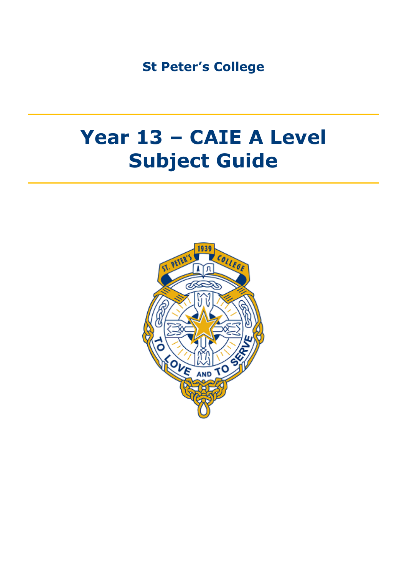**St Peter's College**

# **Year 13 – CAIE A Level Subject Guide**

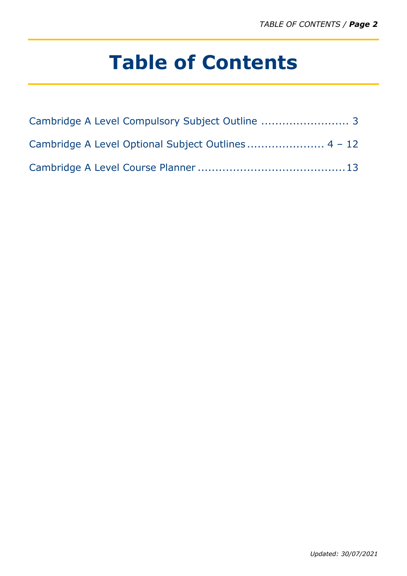# **Table of Contents**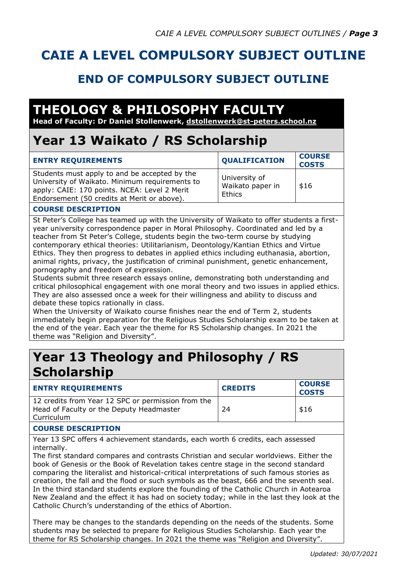# **CAIE A LEVEL COMPULSORY SUBJECT OUTLINE**

### **END OF COMPULSORY SUBJECT OUTLINE**

# **THEOLOGY & PHILOSOPHY FACULTY**

**Head of Faculty: Dr Daniel Stollenwerk, dstollenwerk@st-peters.school.nz**

## **Year 13 Waikato / RS Scholarship**

| <b>ENTRY REQUIREMENTS</b>                                                                                                                                                                      | <b>QUALIFICATION</b>                        | <b>COURSE</b><br><b>COSTS</b> |
|------------------------------------------------------------------------------------------------------------------------------------------------------------------------------------------------|---------------------------------------------|-------------------------------|
| Students must apply to and be accepted by the<br>University of Waikato. Minimum requirements to<br>apply: CAIE: 170 points. NCEA: Level 2 Merit<br>Endorsement (50 credits at Merit or above). | University of<br>Waikato paper in<br>Ethics | \$16                          |

### **COURSE DESCRIPTION**

St Peter's College has teamed up with the University of Waikato to offer students a firstyear university correspondence paper in Moral Philosophy. Coordinated and led by a teacher from St Peter's College, students begin the two-term course by studying contemporary ethical theories: Utilitarianism, Deontology/Kantian Ethics and Virtue Ethics. They then progress to debates in applied ethics including euthanasia, abortion, animal rights, privacy, the justification of criminal punishment, genetic enhancement, pornography and freedom of expression.

Students submit three research essays online, demonstrating both understanding and critical philosophical engagement with one moral theory and two issues in applied ethics. They are also assessed once a week for their willingness and ability to discuss and debate these topics rationally in class.

When the University of Waikato course finishes near the end of Term 2, students immediately begin preparation for the Religious Studies Scholarship exam to be taken at the end of the year. Each year the theme for RS Scholarship changes. In 2021 the theme was "Religion and Diversity".

### **Year 13 Theology and Philosophy / RS Scholarship**

| <b>ENTRY REQUIREMENTS</b>                                                                                    | <b>CREDITS</b> | <b>COURSE</b><br><b>COSTS</b> |
|--------------------------------------------------------------------------------------------------------------|----------------|-------------------------------|
| 12 credits from Year 12 SPC or permission from the<br>Head of Faculty or the Deputy Headmaster<br>Curriculum | 24             | \$16                          |

### **COURSE DESCRIPTION**

Year 13 SPC offers 4 achievement standards, each worth 6 credits, each assessed internally.

The first standard compares and contrasts Christian and secular worldviews. Either the book of Genesis or the Book of Revelation takes centre stage in the second standard comparing the literalist and historical-critical interpretations of such famous stories as creation, the fall and the flood or such symbols as the beast, 666 and the seventh seal. In the third standard students explore the founding of the Catholic Church in Aotearoa New Zealand and the effect it has had on society today; while in the last they look at the Catholic Church's understanding of the ethics of Abortion.

There may be changes to the standards depending on the needs of the students. Some students may be selected to prepare for Religious Studies Scholarship. Each year the theme for RS Scholarship changes. In 2021 the theme was "Religion and Diversity".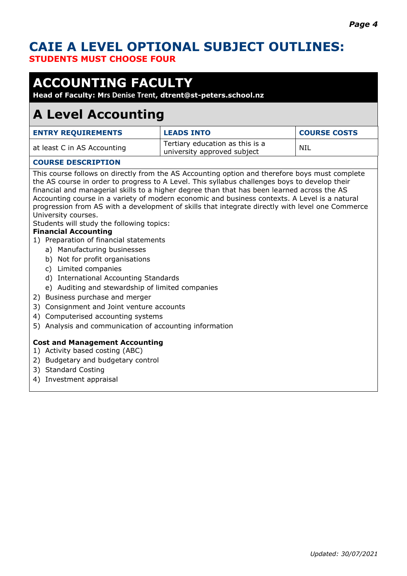### **CAIE A LEVEL OPTIONAL SUBJECT OUTLINES: STUDENTS MUST CHOOSE FOUR**

# **ACCOUNTING FACULTY**

**Head of Faculty: Mrs Denise Trent, dtrent@st-peters.school.nz** 

### **A Level Accounting**

| <b>ENTRY REQUIREMENTS</b>   | <b>LEADS INTO</b>                                              | <b>COURSE COSTS</b> |
|-----------------------------|----------------------------------------------------------------|---------------------|
| at least C in AS Accounting | Tertiary education as this is a<br>university approved subject | NIL                 |

### **COURSE DESCRIPTION**

This course follows on directly from the AS Accounting option and therefore boys must complete the AS course in order to progress to A Level. This syllabus challenges boys to develop their financial and managerial skills to a higher degree than that has been learned across the AS Accounting course in a variety of modern economic and business contexts. A Level is a natural progression from AS with a development of skills that integrate directly with level one Commerce University courses.

Students will study the following topics:

#### **Financial Accounting**

- 1) Preparation of financial statements
	- a) Manufacturing businesses
	- b) Not for profit organisations
	- c) Limited companies
	- d) International Accounting Standards
	- e) Auditing and stewardship of limited companies
- 2) Business purchase and merger
- 3) Consignment and Joint venture accounts
- 4) Computerised accounting systems
- 5) Analysis and communication of accounting information

#### **Cost and Management Accounting**

- 1) Activity based costing (ABC)
- 2) Budgetary and budgetary control
- 3) Standard Costing
- 4) Investment appraisal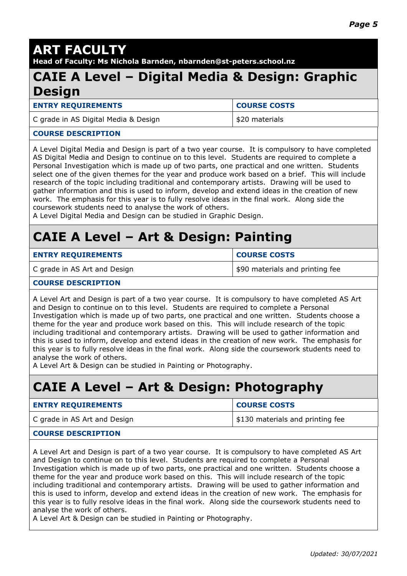# **ART FACULTY**

**Head of Faculty: Ms Nichola Barnden, nbarnden@st-peters.school.nz**

### **CAIE A Level – Digital Media & Design: Graphic Design**

**ENTRY REQUIREMENTS COURSE COSTS** 

C grade in AS Digital Media & Design  $\vert$ \$20 materials

#### **COURSE DESCRIPTION**

A Level Digital Media and Design is part of a two year course. It is compulsory to have completed AS Digital Media and Design to continue on to this level. Students are required to complete a Personal Investigation which is made up of two parts, one practical and one written. Students select one of the given themes for the year and produce work based on a brief. This will include research of the topic including traditional and contemporary artists. Drawing will be used to gather information and this is used to inform, develop and extend ideas in the creation of new work. The emphasis for this year is to fully resolve ideas in the final work. Along side the coursework students need to analyse the work of others.

A Level Digital Media and Design can be studied in Graphic Design.

# **CAIE A Level – Art & Design: Painting**

| <b>ENTRY REQUIREMENTS</b>    | <b>COURSE COSTS</b>             |
|------------------------------|---------------------------------|
| C grade in AS Art and Design | \$90 materials and printing fee |

#### **COURSE DESCRIPTION**

A Level Art and Design is part of a two year course. It is compulsory to have completed AS Art and Design to continue on to this level. Students are required to complete a Personal Investigation which is made up of two parts, one practical and one written. Students choose a theme for the year and produce work based on this. This will include research of the topic including traditional and contemporary artists. Drawing will be used to gather information and this is used to inform, develop and extend ideas in the creation of new work. The emphasis for this year is to fully resolve ideas in the final work. Along side the coursework students need to analyse the work of others.

A Level Art & Design can be studied in Painting or Photography.

# **CAIE A Level – Art & Design: Photography**

| <b>ENTRY REQUIREMENTS</b>    | <b>COURSE COSTS</b>              |
|------------------------------|----------------------------------|
| C grade in AS Art and Design | \$130 materials and printing fee |
|                              |                                  |

#### **COURSE DESCRIPTION**

A Level Art and Design is part of a two year course. It is compulsory to have completed AS Art and Design to continue on to this level. Students are required to complete a Personal Investigation which is made up of two parts, one practical and one written. Students choose a theme for the year and produce work based on this. This will include research of the topic including traditional and contemporary artists. Drawing will be used to gather information and this is used to inform, develop and extend ideas in the creation of new work. The emphasis for this year is to fully resolve ideas in the final work. Along side the coursework students need to analyse the work of others.

A Level Art & Design can be studied in Painting or Photography.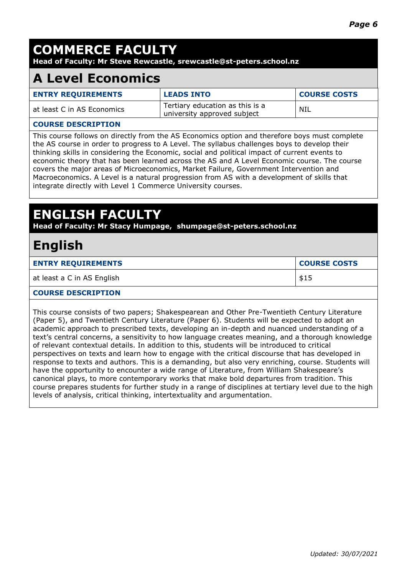# **COMMERCE FACULTY**

**Head of Faculty: Mr Steve Rewcastle, srewcastle@st-peters.school.nz**

## **A Level Economics**

| <b>ENTRY REQUIREMENTS</b>  | <b>LEADS INTO</b>                                              | <b>COURSE COSTS</b> |
|----------------------------|----------------------------------------------------------------|---------------------|
| at least C in AS Economics | Tertiary education as this is a<br>university approved subject | NIL                 |

### **COURSE DESCRIPTION**

This course follows on directly from the AS Economics option and therefore boys must complete the AS course in order to progress to A Level. The syllabus challenges boys to develop their thinking skills in considering the Economic, social and political impact of current events to economic theory that has been learned across the AS and A Level Economic course. The course covers the major areas of Microeconomics, Market Failure, Government Intervention and Macroeconomics. A Level is a natural progression from AS with a development of skills that integrate directly with Level 1 Commerce University courses.

## **ENGLISH FACULTY**

**Head of Faculty: Mr Stacy Humpage, shumpage@st-peters.school.nz**

### **English**

| <b>ENTRY REQUIREMENTS</b>  | <b>COURSE COSTS</b> |
|----------------------------|---------------------|
| at least a C in AS English | \$15                |

#### **COURSE DESCRIPTION**

This course consists of two papers; Shakespearean and Other Pre-Twentieth Century Literature (Paper 5), and Twentieth Century Literature (Paper 6). Students will be expected to adopt an academic approach to prescribed texts, developing an in-depth and nuanced understanding of a text's central concerns, a sensitivity to how language creates meaning, and a thorough knowledge of relevant contextual details. In addition to this, students will be introduced to critical perspectives on texts and learn how to engage with the critical discourse that has developed in response to texts and authors. This is a demanding, but also very enriching, course. Students will have the opportunity to encounter a wide range of Literature, from William Shakespeare's canonical plays, to more contemporary works that make bold departures from tradition. This course prepares students for further study in a range of disciplines at tertiary level due to the high levels of analysis, critical thinking, intertextuality and argumentation.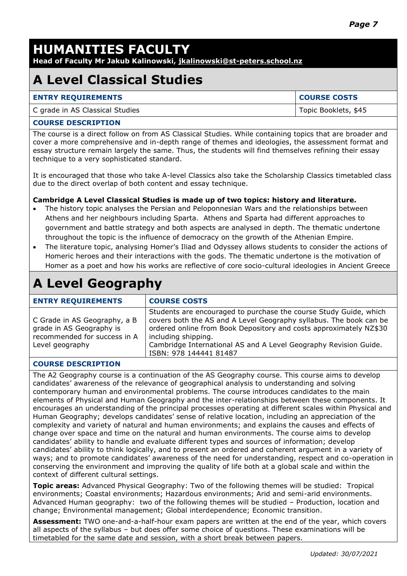# **HUMANITIES FACULTY**

**Head of Faculty Mr Jakub Kalinowski, jkalinowski@st-peters.school.nz**

# **A Level Classical Studies**

| <b>ENTRY REQUIREMENTS</b>       | <b>COURSE COSTS</b>  |
|---------------------------------|----------------------|
| C grade in AS Classical Studies | Topic Booklets, \$45 |

#### **COURSE DESCRIPTION**

The course is a direct follow on from AS Classical Studies. While containing topics that are broader and cover a more comprehensive and in-depth range of themes and ideologies, the assessment format and essay structure remain largely the same. Thus, the students will find themselves refining their essay technique to a very sophisticated standard.

It is encouraged that those who take A-level Classics also take the Scholarship Classics timetabled class due to the direct overlap of both content and essay technique.

### **Cambridge A Level Classical Studies is made up of two topics: history and literature.**

- The history topic analyses the Persian and Peloponnesian Wars and the relationships between Athens and her neighbours including Sparta. Athens and Sparta had different approaches to government and battle strategy and both aspects are analysed in depth. The thematic undertone throughout the topic is the influence of democracy on the growth of the Athenian Empire.
- The literature topic, analysing Homer's Iliad and Odyssey allows students to consider the actions of Homeric heroes and their interactions with the gods. The thematic undertone is the motivation of Homer as a poet and how his works are reflective of core socio-cultural ideologies in Ancient Greece

# **A Level Geography**

| <b>ENTRY REQUIREMENTS</b>                                                                                   | <b>COURSE COSTS</b>                                                                                                                                                                                                                                                                                                                |
|-------------------------------------------------------------------------------------------------------------|------------------------------------------------------------------------------------------------------------------------------------------------------------------------------------------------------------------------------------------------------------------------------------------------------------------------------------|
| C Grade in AS Geography, a B<br>grade in AS Geography is<br>recommended for success in A<br>Level geography | Students are encouraged to purchase the course Study Guide, which<br>covers both the AS and A Level Geography syllabus. The book can be<br>ordered online from Book Depository and costs approximately NZ\$30<br>including shipping.<br>Cambridge International AS and A Level Geography Revision Guide.<br>ISBN: 978 144441 81487 |

### **COURSE DESCRIPTION**

The A2 Geography course is a continuation of the AS Geography course. This course aims to develop candidates' awareness of the relevance of geographical analysis to understanding and solving contemporary human and environmental problems. The course introduces candidates to the main elements of Physical and Human Geography and the inter-relationships between these components. It encourages an understanding of the principal processes operating at different scales within Physical and Human Geography; develops candidates' sense of relative location, including an appreciation of the complexity and variety of natural and human environments; and explains the causes and effects of change over space and time on the natural and human environments. The course aims to develop candidates' ability to handle and evaluate different types and sources of information; develop candidates' ability to think logically, and to present an ordered and coherent argument in a variety of ways; and to promote candidates' awareness of the need for understanding, respect and co-operation in conserving the environment and improving the quality of life both at a global scale and within the context of different cultural settings.

**Topic areas:** Advanced Physical Geography: Two of the following themes will be studied: Tropical environments; Coastal environments; Hazardous environments; Arid and semi-arid environments. Advanced Human geography: two of the following themes will be studied – Production, location and change; Environmental management; Global interdependence; Economic transition.

**Assessment:** TWO one-and-a-half-hour exam papers are written at the end of the year, which covers all aspects of the syllabus – but does offer some choice of questions. These examinations will be timetabled for the same date and session, with a short break between papers.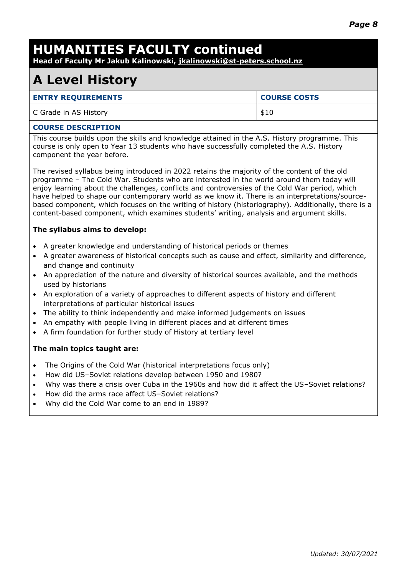# **HUMANITIES FACULTY continued**

**Head of Faculty Mr Jakub Kalinowski, jkalinowski@st-peters.school.nz**

## **A Level History**

| <b>ENTRY REQUIREMENTS</b> | <b>COURSE COSTS</b> |
|---------------------------|---------------------|
| C Grade in AS History     | \$10                |

#### **COURSE DESCRIPTION**

This course builds upon the skills and knowledge attained in the A.S. History programme. This course is only open to Year 13 students who have successfully completed the A.S. History component the year before.

The revised syllabus being introduced in 2022 retains the majority of the content of the old programme – The Cold War. Students who are interested in the world around them today will enjoy learning about the challenges, conflicts and controversies of the Cold War period, which have helped to shape our contemporary world as we know it. There is an interpretations/sourcebased component, which focuses on the writing of history (historiography). Additionally, there is a content-based component, which examines students' writing, analysis and argument skills.

### **The syllabus aims to develop:**

- A greater knowledge and understanding of historical periods or themes
- A greater awareness of historical concepts such as cause and effect, similarity and difference, and change and continuity
- An appreciation of the nature and diversity of historical sources available, and the methods used by historians
- An exploration of a variety of approaches to different aspects of history and different interpretations of particular historical issues
- The ability to think independently and make informed judgements on issues
- An empathy with people living in different places and at different times
- A firm foundation for further study of History at tertiary level

#### **The main topics taught are:**

- The Origins of the Cold War (historical interpretations focus only)
- How did US–Soviet relations develop between 1950 and 1980?
- Why was there a crisis over Cuba in the 1960s and how did it affect the US–Soviet relations?
- How did the arms race affect US–Soviet relations?
- Why did the Cold War come to an end in 1989?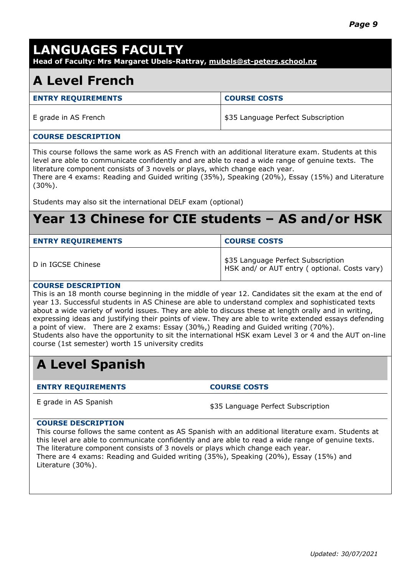### **LANGUAGES FACULTY**

**Head of Faculty: Mrs Margaret Ubels-Rattray, mubels@st-peters.school.nz**

### **A Level French**

| <b>ENTRY REQUIREMENTS</b> | <b>COURSE COSTS</b>                |
|---------------------------|------------------------------------|
| E grade in AS French      | \$35 Language Perfect Subscription |

#### **COURSE DESCRIPTION**

This course follows the same work as AS French with an additional literature exam. Students at this level are able to communicate confidently and are able to read a wide range of genuine texts. The literature component consists of 3 novels or plays, which change each year.

There are 4 exams: Reading and Guided writing (35%), Speaking (20%), Essay (15%) and Literature (30%).

Students may also sit the international DELF exam (optional)

### **Year 13 Chinese for CIE students – AS and/or HSK**

| <b>ENTRY REQUIREMENTS</b> | <b>COURSE COSTS</b>                                                                |
|---------------------------|------------------------------------------------------------------------------------|
| D in IGCSE Chinese        | \$35 Language Perfect Subscription<br>HSK and/ or AUT entry (optional. Costs vary) |

#### **COURSE DESCRIPTION**

This is an 18 month course beginning in the middle of year 12. Candidates sit the exam at the end of year 13. Successful students in AS Chinese are able to understand complex and sophisticated texts about a wide variety of world issues. They are able to discuss these at length orally and in writing, expressing ideas and justifying their points of view. They are able to write extended essays defending a point of view. There are 2 exams: Essay (30%,) Reading and Guided writing (70%). Students also have the opportunity to sit the international HSK exam Level 3 or 4 and the AUT on-line course (1st semester) worth 15 university credits

# **A Level Spanish**

**ENTRY REQUIREMENTS COURSE COSTS**

E grade in AS Spanish  $$35$  Language Perfect Subscription

### **COURSE DESCRIPTION**

This course follows the same content as AS Spanish with an additional literature exam. Students at this level are able to communicate confidently and are able to read a wide range of genuine texts. The literature component consists of 3 novels or plays which change each year. There are 4 exams: Reading and Guided writing (35%), Speaking (20%), Essay (15%) and Literature (30%).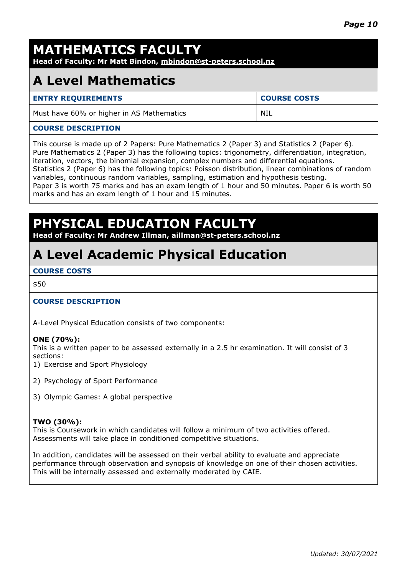# **MATHEMATICS FACULTY**

**Head of Faculty: Mr Matt Bindon, mbindon@st-peters.school.nz**

### **A Level Mathematics**

### **ENTRY REQUIREMENTS COURSE COSTS**

Must have 60% or higher in AS Mathematics NIL

### **COURSE DESCRIPTION**

This course is made up of 2 Papers: Pure Mathematics 2 (Paper 3) and Statistics 2 (Paper 6). Pure Mathematics 2 (Paper 3) has the following topics: trigonometry, differentiation, integration, iteration, vectors, the binomial expansion, complex numbers and differential equations. Statistics 2 (Paper 6) has the following topics: Poisson distribution, linear combinations of random variables, continuous random variables, sampling, estimation and hypothesis testing. Paper 3 is worth 75 marks and has an exam length of 1 hour and 50 minutes. Paper 6 is worth 50 marks and has an exam length of 1 hour and 15 minutes.

### **PHYSICAL EDUCATION FACULTY**

**Head of Faculty: Mr Andrew Illman, aillman@st-peters.school.nz** 

## **A Level Academic Physical Education**

### **COURSE COSTS**

\$50

### **COURSE DESCRIPTION**

A-Level Physical Education consists of two components:

#### **ONE (70%):**

This is a written paper to be assessed externally in a 2.5 hr examination. It will consist of 3 sections:

- 1) Exercise and Sport Physiology
- 2) Psychology of Sport Performance
- 3) Olympic Games: A global perspective

#### **TWO (30%):**

This is Coursework in which candidates will follow a minimum of two activities offered. Assessments will take place in conditioned competitive situations.

In addition, candidates will be assessed on their verbal ability to evaluate and appreciate performance through observation and synopsis of knowledge on one of their chosen activities. This will be internally assessed and externally moderated by CAIE.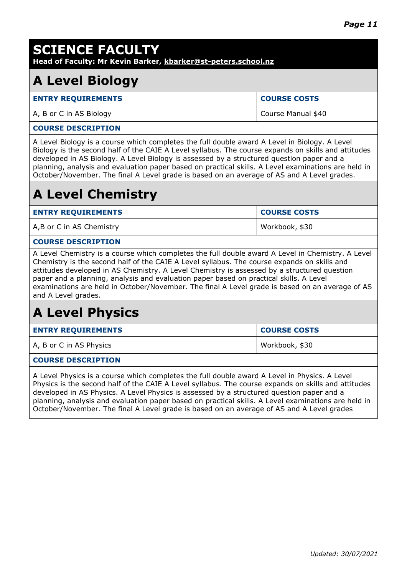| <b>SCIENCE FACULTY</b><br>Head of Faculty: Mr Kevin Barker, kbarker@st-peters.school.nz                                                                                                                                                                                                                                                                                                                                                                                                                             |                     |  |
|---------------------------------------------------------------------------------------------------------------------------------------------------------------------------------------------------------------------------------------------------------------------------------------------------------------------------------------------------------------------------------------------------------------------------------------------------------------------------------------------------------------------|---------------------|--|
| <b>A Level Biology</b>                                                                                                                                                                                                                                                                                                                                                                                                                                                                                              |                     |  |
| <b>ENTRY REQUIREMENTS</b>                                                                                                                                                                                                                                                                                                                                                                                                                                                                                           | <b>COURSE COSTS</b> |  |
| A, B or C in AS Biology                                                                                                                                                                                                                                                                                                                                                                                                                                                                                             | Course Manual \$40  |  |
| <b>COURSE DESCRIPTION</b>                                                                                                                                                                                                                                                                                                                                                                                                                                                                                           |                     |  |
| A Level Biology is a course which completes the full double award A Level in Biology. A Level<br>Biology is the second half of the CAIE A Level syllabus. The course expands on skills and attitudes<br>developed in AS Biology. A Level Biology is assessed by a structured question paper and a<br>planning, analysis and evaluation paper based on practical skills. A Level examinations are held in<br>October/November. The final A Level grade is based on an average of AS and A Level grades.              |                     |  |
| <b>A Level Chemistry</b>                                                                                                                                                                                                                                                                                                                                                                                                                                                                                            |                     |  |
| <b>ENTRY REQUIREMENTS</b>                                                                                                                                                                                                                                                                                                                                                                                                                                                                                           | <b>COURSE COSTS</b> |  |
| A,B or C in AS Chemistry                                                                                                                                                                                                                                                                                                                                                                                                                                                                                            | Workbook, \$30      |  |
| <b>COURSE DESCRIPTION</b>                                                                                                                                                                                                                                                                                                                                                                                                                                                                                           |                     |  |
| A Level Chemistry is a course which completes the full double award A Level in Chemistry. A Level<br>Chemistry is the second half of the CAIE A Level syllabus. The course expands on skills and<br>attitudes developed in AS Chemistry. A Level Chemistry is assessed by a structured question<br>paper and a planning, analysis and evaluation paper based on practical skills. A Level<br>examinations are held in October/November. The final A Level grade is based on an average of AS<br>and A Level grades. |                     |  |
| <b>A Level Physics</b>                                                                                                                                                                                                                                                                                                                                                                                                                                                                                              |                     |  |
| <b>ENTRY REQUIREMENTS</b>                                                                                                                                                                                                                                                                                                                                                                                                                                                                                           | <b>COURSE COSTS</b> |  |
| A, B or C in AS Physics                                                                                                                                                                                                                                                                                                                                                                                                                                                                                             | Workbook, \$30      |  |
| <b>COURSE DESCRIPTION</b>                                                                                                                                                                                                                                                                                                                                                                                                                                                                                           |                     |  |
| A Level Physics is a course which completes the full double award A Level in Physics. A Level<br>Physics is the second half of the CAIE A Level syllabus. The course expands on skills and attitudes<br>developed in AS Physics. A Level Physics is assessed by a structured question paper and a<br>planning, analysis and evaluation paper based on practical skills. A Level examinations are held in<br>October/November. The final A Level grade is based on an average of AS and A Level grades               |                     |  |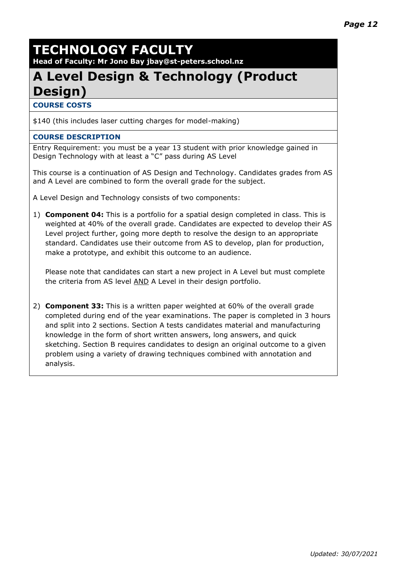# **TECHNOLOGY FACULTY**

**Head of Faculty: Mr Jono Bay jbay@st-peters.school.nz**

# **A Level Design & Technology (Product Design)**

**COURSE COSTS**

\$140 (this includes laser cutting charges for model-making)

### **COURSE DESCRIPTION**

Entry Requirement: you must be a year 13 student with prior knowledge gained in Design Technology with at least a "C" pass during AS Level

This course is a continuation of AS Design and Technology. Candidates grades from AS and A Level are combined to form the overall grade for the subject.

A Level Design and Technology consists of two components:

1) **Component 04:** This is a portfolio for a spatial design completed in class. This is weighted at 40% of the overall grade. Candidates are expected to develop their AS Level project further, going more depth to resolve the design to an appropriate standard. Candidates use their outcome from AS to develop, plan for production, make a prototype, and exhibit this outcome to an audience.

Please note that candidates can start a new project in A Level but must complete the criteria from AS level AND A Level in their design portfolio.

2) **Component 33:** This is a written paper weighted at 60% of the overall grade completed during end of the year examinations. The paper is completed in 3 hours and split into 2 sections. Section A tests candidates material and manufacturing knowledge in the form of short written answers, long answers, and quick sketching. Section B requires candidates to design an original outcome to a given problem using a variety of drawing techniques combined with annotation and analysis.